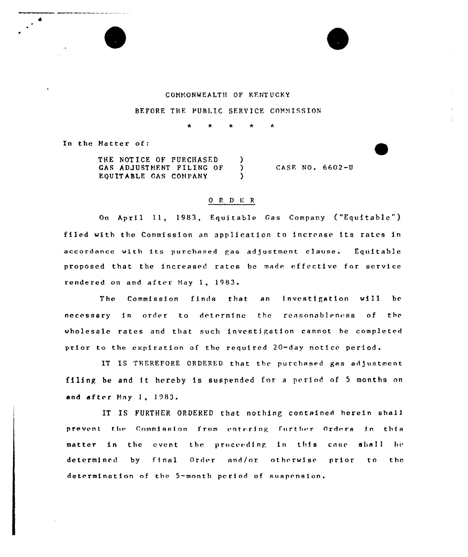

BEFORE THE PUBLIC SERVICE COMMISSION

In the Matter of:

THE NOTICE OF PURCHASED (3) GAS ADJUSTMENT FILING OF )<br>EQUITABLE GAS COMPANY ) EQUITABLE GAS COMPANY

CASF. NO. 6602-U

## 0 <sup>R</sup> <sup>D</sup> E <sup>R</sup>

On April 11, 1983, Equitable Gas Company ("Equitable") filed with the Commission an application to increase its rates in accordance with its purchased gas adjustment clause. Equitable proposed that the increased rates be made effective for service rendered on and after Hay 1, 1983.

The Commission finds that an investigation will be necessary in order to determine the reasonableness of the wholesale rates and that such investigation cannot be completed prior to the expiration of the required 20-day notice period.

IT IS THEREFORE ORDERED that the purchased gas adgustmcnt filing be and it hereby is suspended for a period of 5 months on and after May  $1$ ,  $1983$ .

IT IS FURTHER ORDERED that nothing contained herein shall prevent the Commission from entering further Orders in this matter in the event the proceeding in this case shall be determined by final Order and/or otherwise prior to the determination nf the 5-month period of suspension.